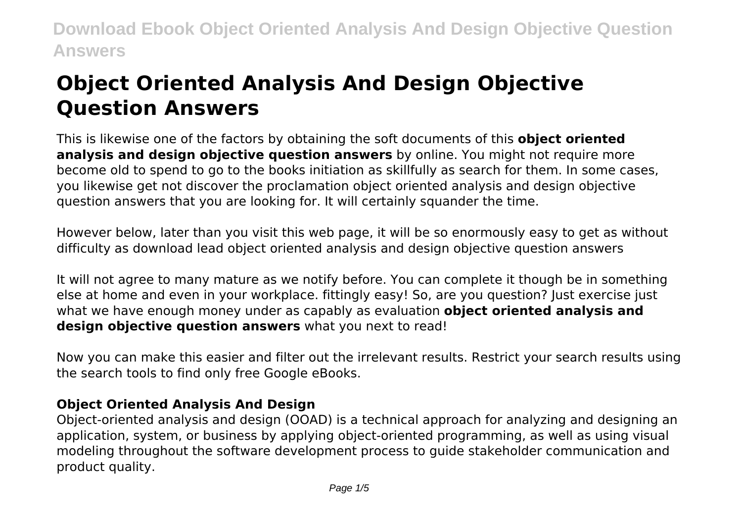# **Object Oriented Analysis And Design Objective Question Answers**

This is likewise one of the factors by obtaining the soft documents of this **object oriented analysis and design objective question answers** by online. You might not require more become old to spend to go to the books initiation as skillfully as search for them. In some cases, you likewise get not discover the proclamation object oriented analysis and design objective question answers that you are looking for. It will certainly squander the time.

However below, later than you visit this web page, it will be so enormously easy to get as without difficulty as download lead object oriented analysis and design objective question answers

It will not agree to many mature as we notify before. You can complete it though be in something else at home and even in your workplace. fittingly easy! So, are you question? Just exercise just what we have enough money under as capably as evaluation **object oriented analysis and design objective question answers** what you next to read!

Now you can make this easier and filter out the irrelevant results. Restrict your search results using the search tools to find only free Google eBooks.

### **Object Oriented Analysis And Design**

Object-oriented analysis and design (OOAD) is a technical approach for analyzing and designing an application, system, or business by applying object-oriented programming, as well as using visual modeling throughout the software development process to guide stakeholder communication and product quality.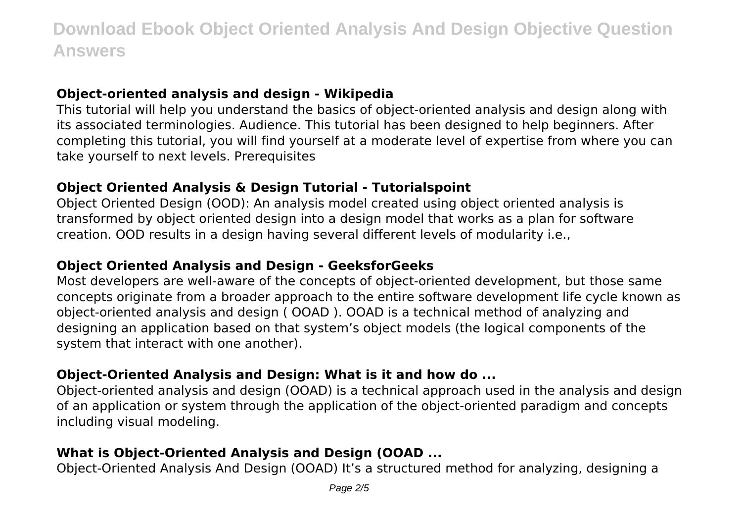#### **Object-oriented analysis and design - Wikipedia**

This tutorial will help you understand the basics of object-oriented analysis and design along with its associated terminologies. Audience. This tutorial has been designed to help beginners. After completing this tutorial, you will find yourself at a moderate level of expertise from where you can take yourself to next levels. Prerequisites

#### **Object Oriented Analysis & Design Tutorial - Tutorialspoint**

Object Oriented Design (OOD): An analysis model created using object oriented analysis is transformed by object oriented design into a design model that works as a plan for software creation. OOD results in a design having several different levels of modularity i.e.,

#### **Object Oriented Analysis and Design - GeeksforGeeks**

Most developers are well-aware of the concepts of object-oriented development, but those same concepts originate from a broader approach to the entire software development life cycle known as object-oriented analysis and design ( OOAD ). OOAD is a technical method of analyzing and designing an application based on that system's object models (the logical components of the system that interact with one another).

#### **Object-Oriented Analysis and Design: What is it and how do ...**

Object-oriented analysis and design (OOAD) is a technical approach used in the analysis and design of an application or system through the application of the object-oriented paradigm and concepts including visual modeling.

### **What is Object-Oriented Analysis and Design (OOAD ...**

Object-Oriented Analysis And Design (OOAD) It's a structured method for analyzing, designing a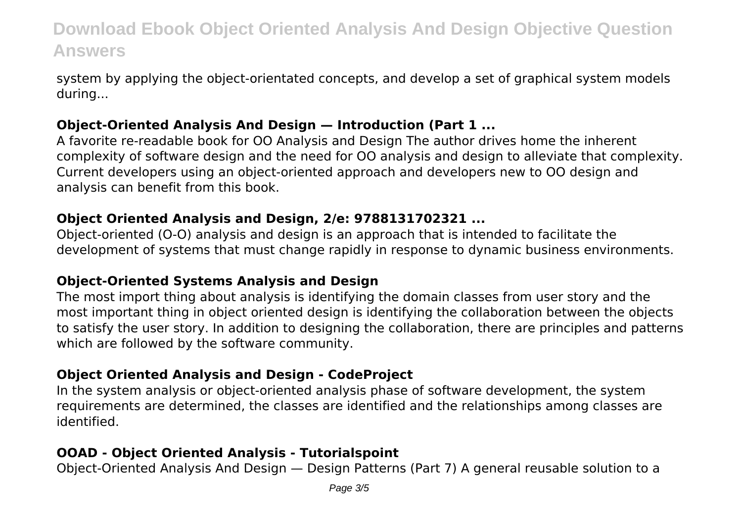system by applying the object-orientated concepts, and develop a set of graphical system models during...

#### **Object-Oriented Analysis And Design — Introduction (Part 1 ...**

A favorite re-readable book for OO Analysis and Design The author drives home the inherent complexity of software design and the need for OO analysis and design to alleviate that complexity. Current developers using an object-oriented approach and developers new to OO design and analysis can benefit from this book.

#### **Object Oriented Analysis and Design, 2/e: 9788131702321 ...**

Object-oriented (O-O) analysis and design is an approach that is intended to facilitate the development of systems that must change rapidly in response to dynamic business environments.

#### **Object-Oriented Systems Analysis and Design**

The most import thing about analysis is identifying the domain classes from user story and the most important thing in object oriented design is identifying the collaboration between the objects to satisfy the user story. In addition to designing the collaboration, there are principles and patterns which are followed by the software community.

#### **Object Oriented Analysis and Design - CodeProject**

In the system analysis or object-oriented analysis phase of software development, the system requirements are determined, the classes are identified and the relationships among classes are identified.

#### **OOAD - Object Oriented Analysis - Tutorialspoint**

Object-Oriented Analysis And Design — Design Patterns (Part 7) A general reusable solution to a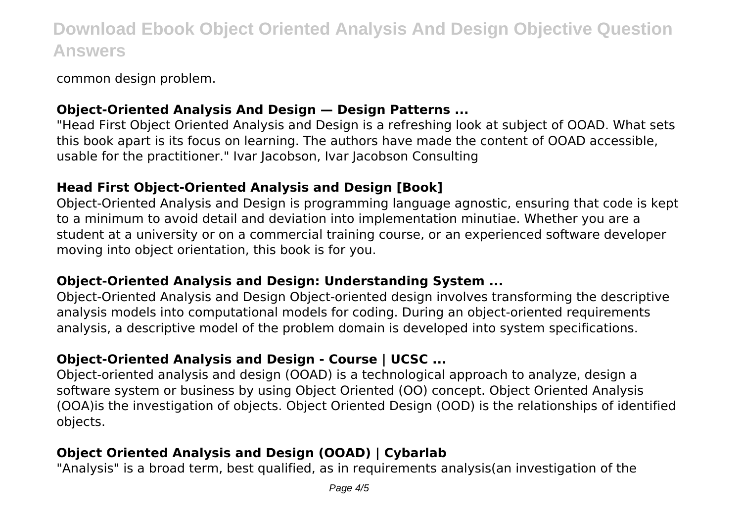common design problem.

#### **Object-Oriented Analysis And Design — Design Patterns ...**

"Head First Object Oriented Analysis and Design is a refreshing look at subject of OOAD. What sets this book apart is its focus on learning. The authors have made the content of OOAD accessible, usable for the practitioner." Ivar Jacobson, Ivar Jacobson Consulting

### **Head First Object-Oriented Analysis and Design [Book]**

Object-Oriented Analysis and Design is programming language agnostic, ensuring that code is kept to a minimum to avoid detail and deviation into implementation minutiae. Whether you are a student at a university or on a commercial training course, or an experienced software developer moving into object orientation, this book is for you.

#### **Object-Oriented Analysis and Design: Understanding System ...**

Object-Oriented Analysis and Design Object-oriented design involves transforming the descriptive analysis models into computational models for coding. During an object-oriented requirements analysis, a descriptive model of the problem domain is developed into system specifications.

## **Object-Oriented Analysis and Design - Course | UCSC ...**

Object-oriented analysis and design (OOAD) is a technological approach to analyze, design a software system or business by using Object Oriented (OO) concept. Object Oriented Analysis (OOA)is the investigation of objects. Object Oriented Design (OOD) is the relationships of identified objects.

# **Object Oriented Analysis and Design (OOAD) | Cybarlab**

"Analysis" is a broad term, best qualified, as in requirements analysis(an investigation of the